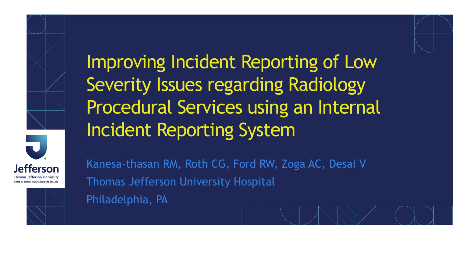



Improving Incident Reporting of Low Severity Issues regarding Radiology Procedural Services using an Internal Incident Reporting System

Kanesa-thasan RM, Roth CG, Ford RW, Zoga AC, Desai V Thomas Jefferson University Hospital Philadelphia, PA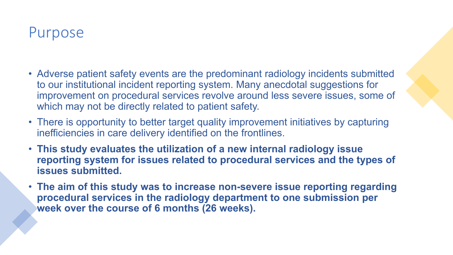#### Purpose

- Adverse patient safety events are the predominant radiology incidents submitted to our institutional incident reporting system. Many anecdotal suggestions for improvement on procedural services revolve around less severe issues, some of which may not be directly related to patient safety.
- There is opportunity to better target quality improvement initiatives by capturing inefficiencies in care delivery identified on the frontlines.
- **This study evaluates the utilization of a new internal radiology issue reporting system for issues related to procedural services and the types of issues submitted.**
- **The aim of this study was to increase non-severe issue reporting regarding procedural services in the radiology department to one submission per week over the course of 6 months (26 weeks).**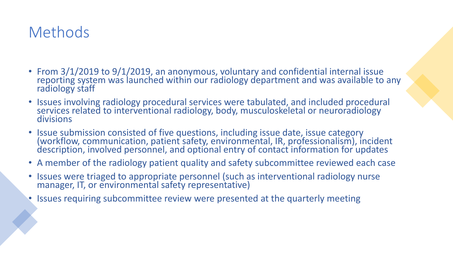# Methods

- From 3/1/2019 to 9/1/2019, an anonymous, voluntary and confidential internal issue reporting system was launched within our radiology department and was available to any radiology staff
- Issues involving radiology procedural services were tabulated, and included procedural services related to interventional radiology, body, musculoskeletal or neuroradiology divisions
- Issue submission consisted of five questions, including issue date, issue category (workflow, communication, patient safety, environmental, IR, professionalism), incident description, involved personnel, and optional entry of contact information for updates
- A member of the radiology patient quality and safety subcommittee reviewed each case
- Issues were triaged to appropriate personnel (such as interventional radiology nurse manager, IT, or environmental safety representative)
- Issues requiring subcommittee review were presented at the quarterly meeting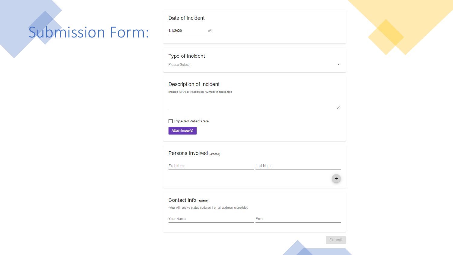# Submission Form:

|  | Date of Incident |
|--|------------------|

1/1/2020

 $\boxdot$ 

#### Type of Incident

Please Select...



| Persons Involved (optional) |           |  |
|-----------------------------|-----------|--|
| <b>First Name</b>           | Last Name |  |
|                             |           |  |

| Contact Info (optional)<br>*You will receive status updates if email address is provided |       |  |
|------------------------------------------------------------------------------------------|-------|--|
| Your Name                                                                                | Email |  |
|                                                                                          |       |  |

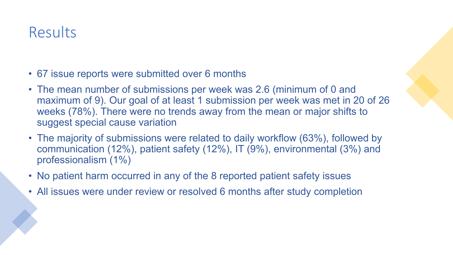### Results

- 67 issue reports were submitted over 6 months
- The mean number of submissions per week was 2.6 (minimum of 0 and maximum of 9). Our goal of at least 1 submission per week was met in 20 of 26 weeks (78%). There were no trends away from the mean or major shifts to suggest special cause variation
- The majority of submissions were related to daily workflow (63%), followed by communication (12%), patient safety (12%), IT (9%), environmental (3%) and professionalism (1%)
- No patient harm occurred in any of the 8 reported patient safety issues
- All issues were under review or resolved 6 months after study completion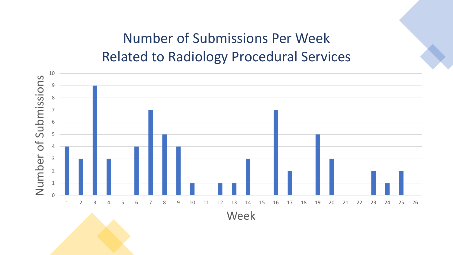# Number of Submissions Per Week Related to Radiology Procedural Services

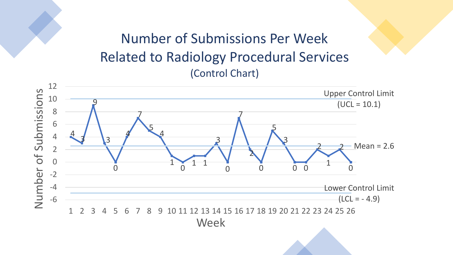#### Number of Submissions Per Week Related to Radiology Procedural Services (Control Chart)

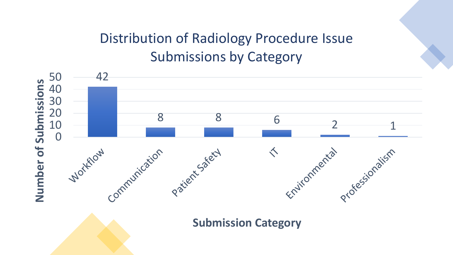# Distribution of Radiology Procedure Issue Submissions by Category

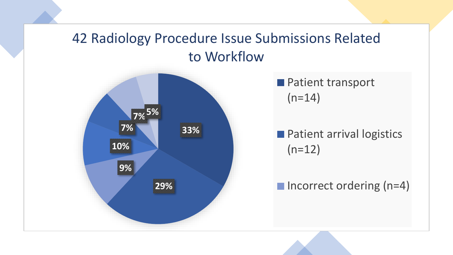#### 42 Radiology Procedure Issue Submissions Related to Workflow



**Patient transport**  $(n=14)$ 

**Patient arrival logistics**  $(n=12)$ 

 $\blacksquare$  Incorrect ordering (n=4)